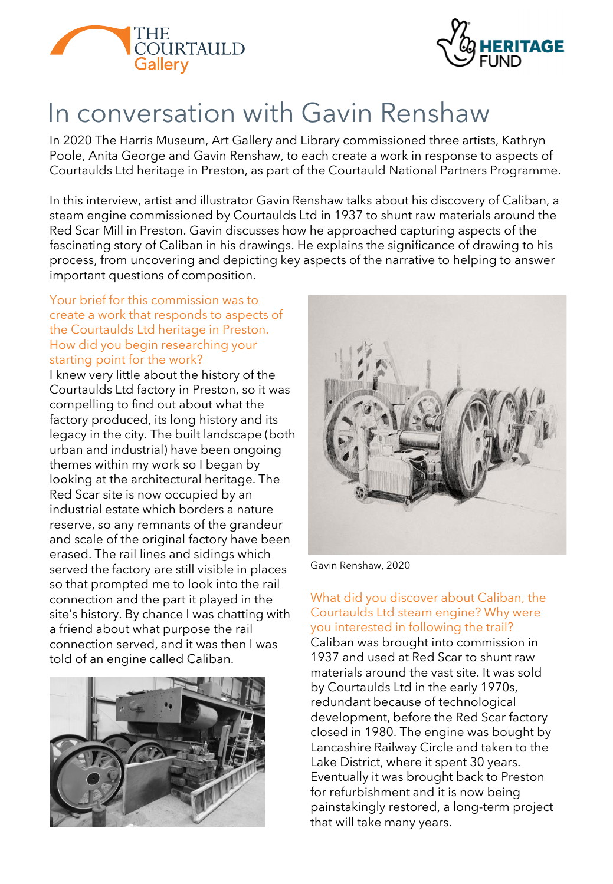



# In conversation with Gavin Renshaw

In 2020 The Harris Museum, Art Gallery and Library commissioned three artists, Kathryn Poole, Anita George and Gavin Renshaw, to each create a work in response to aspects of Courtaulds Ltd heritage in Preston, as part of the Courtauld National Partners Programme.

In this interview, artist and illustrator Gavin Renshaw talks about his discovery of Caliban, a steam engine commissioned by Courtaulds Ltd in 1937 to shunt raw materials around the Red Scar Mill in Preston. Gavin discusses how he approached capturing aspects of the fascinating story of Caliban in his drawings. He explains the significance of drawing to his process, from uncovering and depicting key aspects of the narrative to helping to answer important questions of composition.

#### Your brief for this commission was to create a work that responds to aspects of the Courtaulds Ltd heritage in Preston. How did you begin researching your starting point for the work?

I knew very little about the history of the Courtaulds Ltd factory in Preston, so it was compelling to find out about what the factory produced, its long history and its legacy in the city. The built landscape (both urban and industrial) have been ongoing themes within my work so I began by looking at the architectural heritage. The Red Scar site is now occupied by an industrial estate which borders a nature reserve, so any remnants of the grandeur and scale of the original factory have been erased. The rail lines and sidings which served the factory are still visible in places so that prompted me to look into the rail connection and the part it played in the site's history. By chance I was chatting with a friend about what purpose the rail connection served, and it was then I was told of an engine called Caliban.





Gavin Renshaw, 2020

## What did you discover about Caliban, the Courtaulds Ltd steam engine? Why were you interested in following the trail?

Caliban was brought into commission in 1937 and used at Red Scar to shunt raw materials around the vast site. It was sold by Courtaulds Ltd in the early 1970s, redundant because of technological development, before the Red Scar factory closed in 1980. The engine was bought by Lancashire Railway Circle and taken to the Lake District, where it spent 30 years. Eventually it was brought back to Preston for refurbishment and it is now being painstakingly restored, a long-term project that will take many years.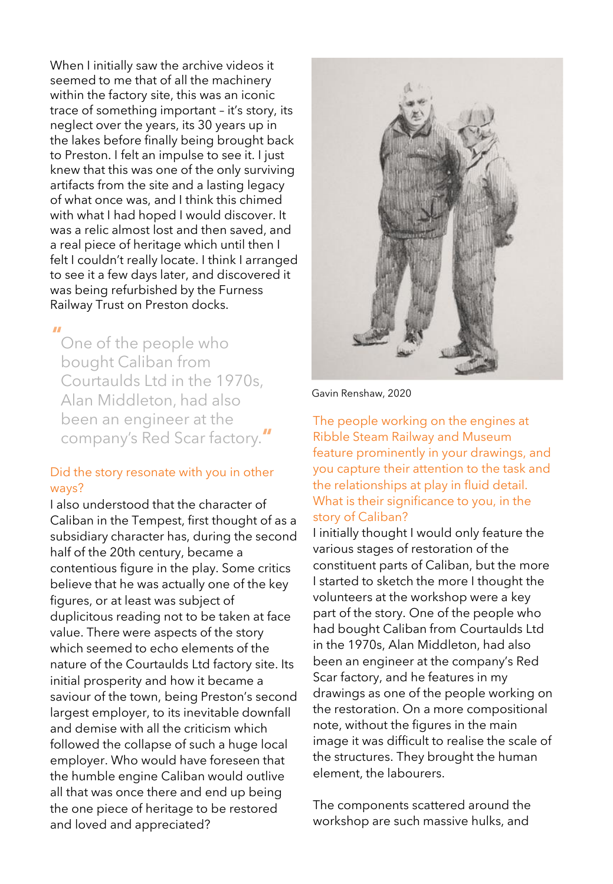When I initially saw the archive videos it seemed to me that of all the machinery within the factory site, this was an iconic trace of something important – it's story, its neglect over the years, its 30 years up in the lakes before finally being brought back to Preston. I felt an impulse to see it. I just knew that this was one of the only surviving artifacts from the site and a lasting legacy of what once was, and I think this chimed with what I had hoped I would discover. It was a relic almost lost and then saved, and a real piece of heritage which until then I felt I couldn't really locate. I think I arranged to see it a few days later, and discovered it was being refurbished by the Furness Railway Trust on Preston docks.

One of the people who **"** bought Caliban from Courtaulds Ltd in the 1970s, Alan Middleton, had also been an engineer at the company's Red Scar factory. **"**

#### Did the story resonate with you in other ways?

I also understood that the character of Caliban in the Tempest, first thought of as a subsidiary character has, during the second half of the 20th century, became a contentious figure in the play. Some critics believe that he was actually one of the key figures, or at least was subject of duplicitous reading not to be taken at face value. There were aspects of the story which seemed to echo elements of the nature of the Courtaulds Ltd factory site. Its initial prosperity and how it became a saviour of the town, being Preston's second largest employer, to its inevitable downfall and demise with all the criticism which followed the collapse of such a huge local employer. Who would have foreseen that the humble engine Caliban would outlive all that was once there and end up being the one piece of heritage to be restored and loved and appreciated?



Gavin Renshaw, 2020

The people working on the engines at Ribble Steam Railway and Museum feature prominently in your drawings, and you capture their attention to the task and the relationships at play in fluid detail. What is their significance to you, in the story of Caliban?

I initially thought I would only feature the various stages of restoration of the constituent parts of Caliban, but the more I started to sketch the more I thought the volunteers at the workshop were a key part of the story. One of the people who had bought Caliban from Courtaulds Ltd in the 1970s, Alan Middleton, had also been an engineer at the company's Red Scar factory, and he features in my drawings as one of the people working on the restoration. On a more compositional note, without the figures in the main image it was difficult to realise the scale of the structures. They brought the human element, the labourers.

The components scattered around the workshop are such massive hulks, and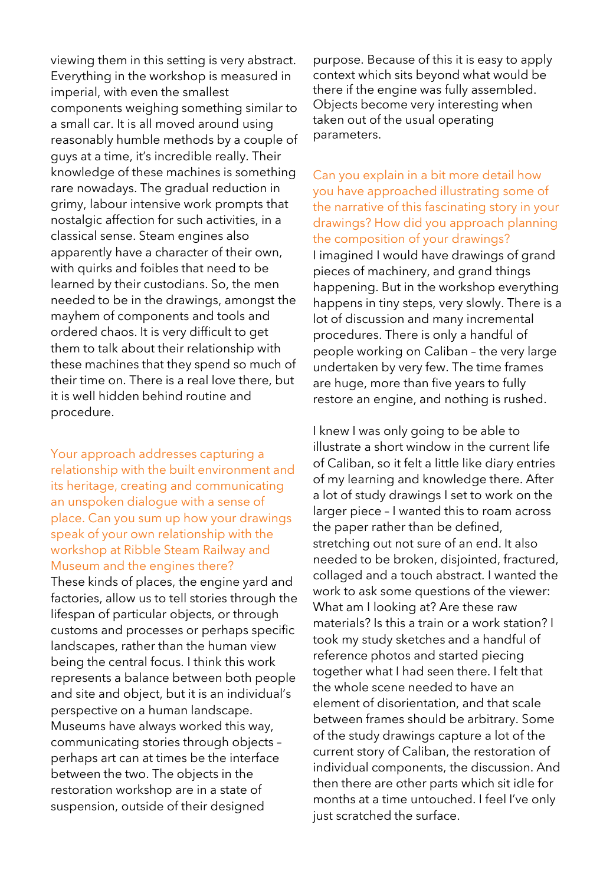viewing them in this setting is very abstract. Everything in the workshop is measured in imperial, with even the smallest components weighing something similar to a small car. It is all moved around using reasonably humble methods by a couple of guys at a time, it's incredible really. Their knowledge of these machines is something rare nowadays. The gradual reduction in grimy, labour intensive work prompts that nostalgic affection for such activities, in a classical sense. Steam engines also apparently have a character of their own, with quirks and foibles that need to be learned by their custodians. So, the men needed to be in the drawings, amongst the mayhem of components and tools and ordered chaos. It is very difficult to get them to talk about their relationship with these machines that they spend so much of their time on. There is a real love there, but it is well hidden behind routine and procedure.

Your approach addresses capturing a relationship with the built environment and its heritage, creating and communicating an unspoken dialogue with a sense of place. Can you sum up how your drawings speak of your own relationship with the workshop at Ribble Steam Railway and Museum and the engines there?

These kinds of places, the engine yard and factories, allow us to tell stories through the lifespan of particular objects, or through customs and processes or perhaps specific landscapes, rather than the human view being the central focus. I think this work represents a balance between both people and site and object, but it is an individual's perspective on a human landscape. Museums have always worked this way, communicating stories through objects – perhaps art can at times be the interface between the two. The objects in the restoration workshop are in a state of suspension, outside of their designed

purpose. Because of this it is easy to apply context which sits beyond what would be there if the engine was fully assembled. Objects become very interesting when taken out of the usual operating parameters.

Can you explain in a bit more detail how you have approached illustrating some of the narrative of this fascinating story in your drawings? How did you approach planning the composition of your drawings? I imagined I would have drawings of grand pieces of machinery, and grand things happening. But in the workshop everything happens in tiny steps, very slowly. There is a lot of discussion and many incremental procedures. There is only a handful of people working on Caliban – the very large undertaken by very few. The time frames are huge, more than five years to fully restore an engine, and nothing is rushed.

I knew I was only going to be able to illustrate a short window in the current life of Caliban, so it felt a little like diary entries of my learning and knowledge there. After a lot of study drawings I set to work on the larger piece – I wanted this to roam across the paper rather than be defined, stretching out not sure of an end. It also needed to be broken, disjointed, fractured, collaged and a touch abstract. I wanted the work to ask some questions of the viewer: What am I looking at? Are these raw materials? Is this a train or a work station? I took my study sketches and a handful of reference photos and started piecing together what I had seen there. I felt that the whole scene needed to have an element of disorientation, and that scale between frames should be arbitrary. Some of the study drawings capture a lot of the current story of Caliban, the restoration of individual components, the discussion. And then there are other parts which sit idle for months at a time untouched. I feel I've only just scratched the surface.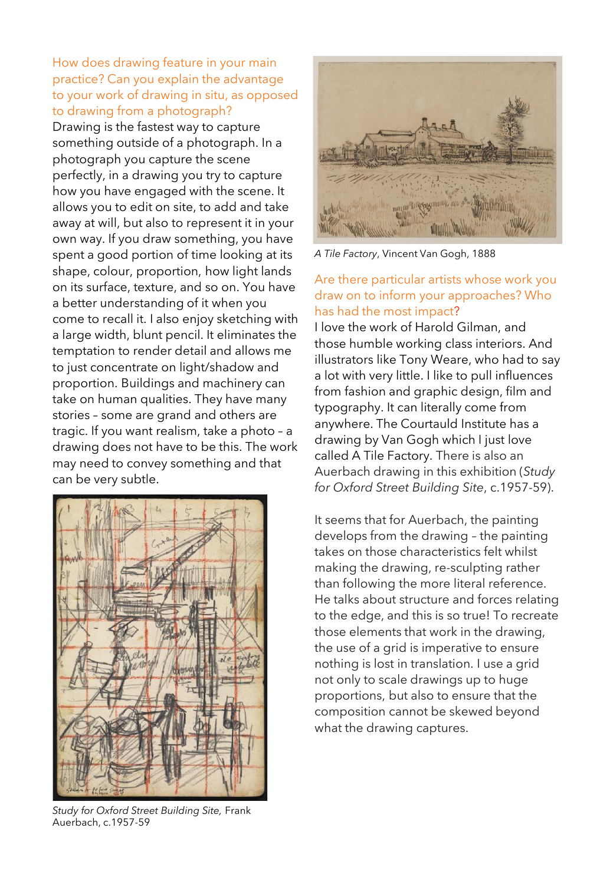### How does drawing feature in your main practice? Can you explain the advantage to your work of drawing in situ, as opposed to drawing from a photograph?

Drawing is the fastest way to capture something outside of a photograph. In a photograph you capture the scene perfectly, in a drawing you try to capture how you have engaged with the scene. It allows you to edit on site, to add and take away at will, but also to represent it in your own way. If you draw something, you have spent a good portion of time looking at its shape, colour, proportion, how light lands on its surface, texture, and so on. You have a better understanding of it when you come to recall it. I also enjoy sketching with a large width, blunt pencil. It eliminates the temptation to render detail and allows me to just concentrate on light/shadow and proportion. Buildings and machinery can take on human qualities. They have many stories – some are grand and others are tragic. If you want realism, take a photo – a drawing does not have to be this. The work may need to convey something and that can be very subtle.



*Study for Oxford Street Building Site,* Frank Auerbach, c.1957-59



*A Tile Factory*, Vincent Van Gogh, 1888

## Are there particular artists whose work you draw on to inform your approaches? Who has had the most impact?

I love the work of Harold Gilman, and those humble working class interiors. And illustrators like Tony Weare, who had to say a lot with very little. I like to pull influences from fashion and graphic design, film and typography. It can literally come from anywhere. The Courtauld Institute has a drawing by Van Gogh which I just love called A Tile Factory. There is also an Auerbach drawing in this exhibition (*Study for Oxford Street Building Site*, c.1957-59).

It seems that for Auerbach, the painting develops from the drawing – the painting takes on those characteristics felt whilst making the drawing, re-sculpting rather than following the more literal reference. He talks about structure and forces relating to the edge, and this is so true! To recreate those elements that work in the drawing, the use of a grid is imperative to ensure nothing is lost in translation. I use a grid not only to scale drawings up to huge proportions, but also to ensure that the composition cannot be skewed beyond what the drawing captures.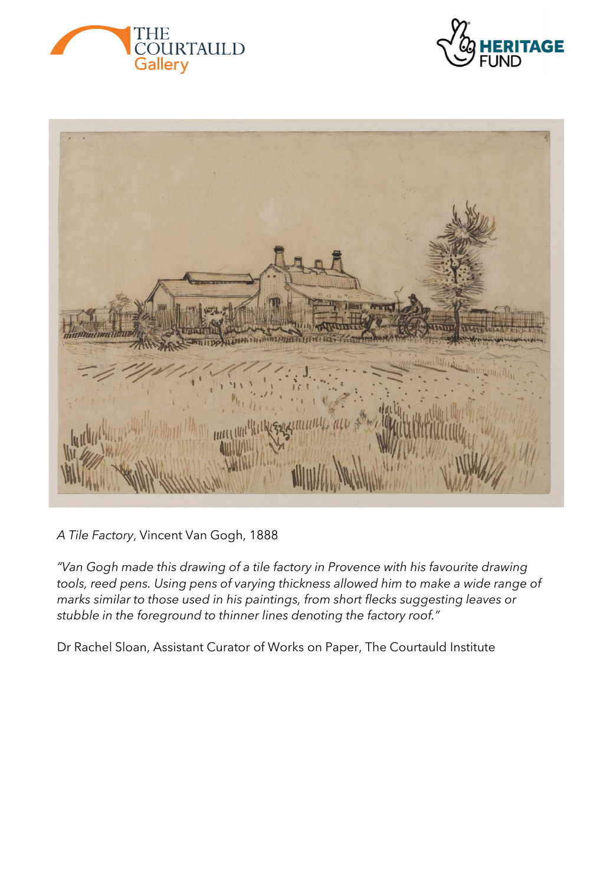





*A Tile Factory*, Vincent Van Gogh, 1888

*"Van Gogh made this drawing of a tile factory in Provence with his favourite drawing tools, reed pens. Using pens of varying thickness allowed him to make a wide range of marks similar to those used in his paintings, from short flecks suggesting leaves or stubble in the foreground to thinner lines denoting the factory roof."* 

Dr Rachel Sloan, Assistant Curator of Works on Paper, The Courtauld Institute